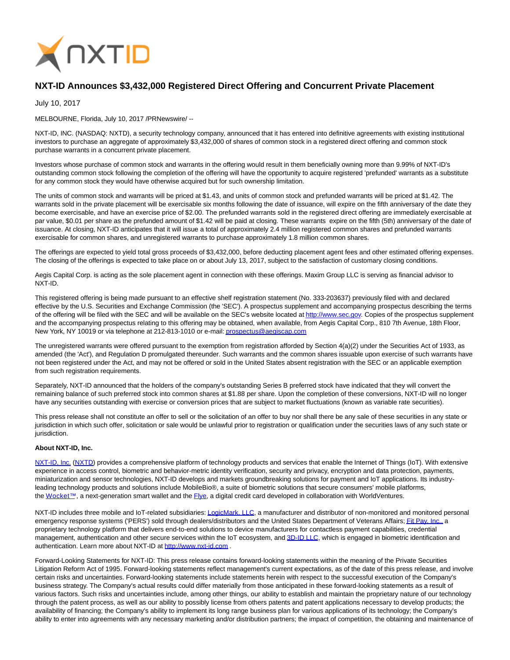

## **NXT-ID Announces \$3,432,000 Registered Direct Offering and Concurrent Private Placement**

July 10, 2017

MELBOURNE, Florida, July 10, 2017 /PRNewswire/ --

NXT-ID, INC. (NASDAQ: NXTD), a security technology company, announced that it has entered into definitive agreements with existing institutional investors to purchase an aggregate of approximately \$3,432,000 of shares of common stock in a registered direct offering and common stock purchase warrants in a concurrent private placement.

Investors whose purchase of common stock and warrants in the offering would result in them beneficially owning more than 9.99% of NXT-ID's outstanding common stock following the completion of the offering will have the opportunity to acquire registered 'prefunded' warrants as a substitute for any common stock they would have otherwise acquired but for such ownership limitation.

The units of common stock and warrants will be priced at \$1.43, and units of common stock and prefunded warrants will be priced at \$1.42. The warrants sold in the private placement will be exercisable six months following the date of issuance, will expire on the fifth anniversary of the date they become exercisable, and have an exercise price of \$2.00. The prefunded warrants sold in the registered direct offering are immediately exercisable at par value, \$0.01 per share as the prefunded amount of \$1.42 will be paid at closing. These warrants expire on the fifth (5th) anniversary of the date of issuance. At closing, NXT-ID anticipates that it will issue a total of approximately 2.4 million registered common shares and prefunded warrants exercisable for common shares, and unregistered warrants to purchase approximately 1.8 million common shares.

The offerings are expected to yield total gross proceeds of \$3,432,000, before deducting placement agent fees and other estimated offering expenses. The closing of the offerings is expected to take place on or about July 13, 2017, subject to the satisfaction of customary closing conditions.

Aegis Capital Corp. is acting as the sole placement agent in connection with these offerings. Maxim Group LLC is serving as financial advisor to NXT-ID.

This registered offering is being made pursuant to an effective shelf registration statement (No. 333-203637) previously filed with and declared effective by the U.S. Securities and Exchange Commission (the 'SEC'). A prospectus supplement and accompanying prospectus describing the terms of the offering will be filed with the SEC and will be available on the SEC's website located a[t http://www.sec.gov.](http://www.sec.gov/) Copies of the prospectus supplement and the accompanying prospectus relating to this offering may be obtained, when available, from Aegis Capital Corp., 810 7th Avenue, 18th Floor, New York, NY 10019 or via telephone at 212-813-1010 or e-mail[: prospectus@aegiscap.com](mailto:prospectus@aegiscap.com)

The unregistered warrants were offered pursuant to the exemption from registration afforded by Section 4(a)(2) under the Securities Act of 1933, as amended (the 'Act'), and Regulation D promulgated thereunder. Such warrants and the common shares issuable upon exercise of such warrants have not been registered under the Act, and may not be offered or sold in the United States absent registration with the SEC or an applicable exemption from such registration requirements.

Separately, NXT-ID announced that the holders of the company's outstanding Series B preferred stock have indicated that they will convert the remaining balance of such preferred stock into common shares at \$1.88 per share. Upon the completion of these conversions, NXT-ID will no longer have any securities outstanding with exercise or conversion prices that are subject to market fluctuations (known as variable rate securities).

This press release shall not constitute an offer to sell or the solicitation of an offer to buy nor shall there be any sale of these securities in any state or jurisdiction in which such offer, solicitation or sale would be unlawful prior to registration or qualification under the securities laws of any such state or jurisdiction.

## **About NXT-ID, Inc.**

[NXT-ID, Inc.](http://www.nxt-id.com/) [\(NXTD\)](https://finance.yahoo.com/q?s=nxtd) provides a comprehensive platform of technology products and services that enable the Internet of Things (IoT). With extensive experience in access control, biometric and behavior-metric identity verification, security and privacy, encryption and data protection, payments, miniaturization and sensor technologies, NXT-ID develops and markets groundbreaking solutions for payment and IoT applications. Its industryleading technology products and solutions include MobileBio®, a suite of biometric solutions that secure consumers' mobile platforms, the Wocket™, a next-generation smart wallet and the Elve, a digital credit card developed in collaboration with WorldVentures.

NXT-ID includes three mobile and IoT-related subsidiaries[: LogicMark, LLC,](https://www.logicmark.com/) a manufacturer and distributor of non-monitored and monitored personal emergency response systems ('PERS') sold through dealers/distributors and the United States Department of Veterans Affairs[; Fit Pay, Inc., a](http://www.fit-pay.com/) proprietary technology platform that delivers end-to-end solutions to device manufacturers for contactless payment capabilities, credential management, authentication and other secure services within the IoT ecosystem, and [3D-ID LLC,](http://nxt-id.com/products/3did/) which is engaged in biometric identification and authentication. Learn more about NXT-ID at [http://www.nxt-id.com .](http://www.nxt-id.com/)

Forward-Looking Statements for NXT-ID: This press release contains forward-looking statements within the meaning of the Private Securities Litigation Reform Act of 1995. Forward-looking statements reflect management's current expectations, as of the date of this press release, and involve certain risks and uncertainties. Forward-looking statements include statements herein with respect to the successful execution of the Company's business strategy. The Company's actual results could differ materially from those anticipated in these forward-looking statements as a result of various factors. Such risks and uncertainties include, among other things, our ability to establish and maintain the proprietary nature of our technology through the patent process, as well as our ability to possibly license from others patents and patent applications necessary to develop products; the availability of financing; the Company's ability to implement its long range business plan for various applications of its technology; the Company's ability to enter into agreements with any necessary marketing and/or distribution partners; the impact of competition, the obtaining and maintenance of